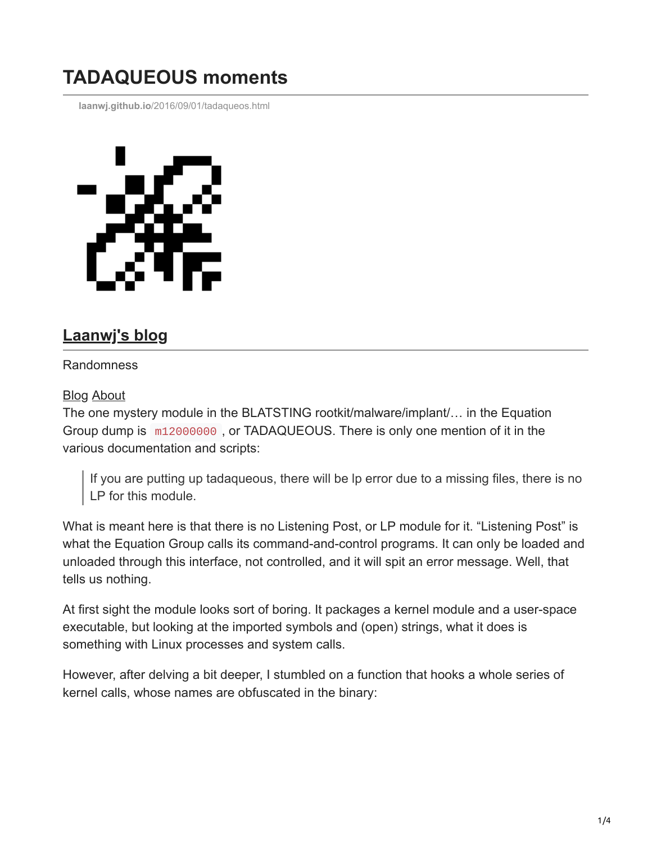## **TADAQUEOUS moments**

**laanwj.github.io**[/2016/09/01/tadaqueos.html](https://laanwj.github.io/2016/09/01/tadaqueos.html)



## **[Laanwj's blog](https://laanwj.github.io/)**

## Randomness

## [Blog](https://laanwj.github.io/) [About](https://laanwj.github.io/about)

The one mystery module in the BLATSTING rootkit/malware/implant/… in the Equation Group dump is m12000000 , or TADAQUEOUS. There is only one mention of it in the various documentation and scripts:

If you are putting up tadaqueous, there will be lp error due to a missing files, there is no LP for this module.

What is meant here is that there is no Listening Post, or LP module for it. "Listening Post" is what the Equation Group calls its command-and-control programs. It can only be loaded and unloaded through this interface, not controlled, and it will spit an error message. Well, that tells us nothing.

At first sight the module looks sort of boring. It packages a kernel module and a user-space executable, but looking at the imported symbols and (open) strings, what it does is something with Linux processes and system calls.

However, after delving a bit deeper, I stumbled on a function that hooks a whole series of kernel calls, whose names are obfuscated in the binary: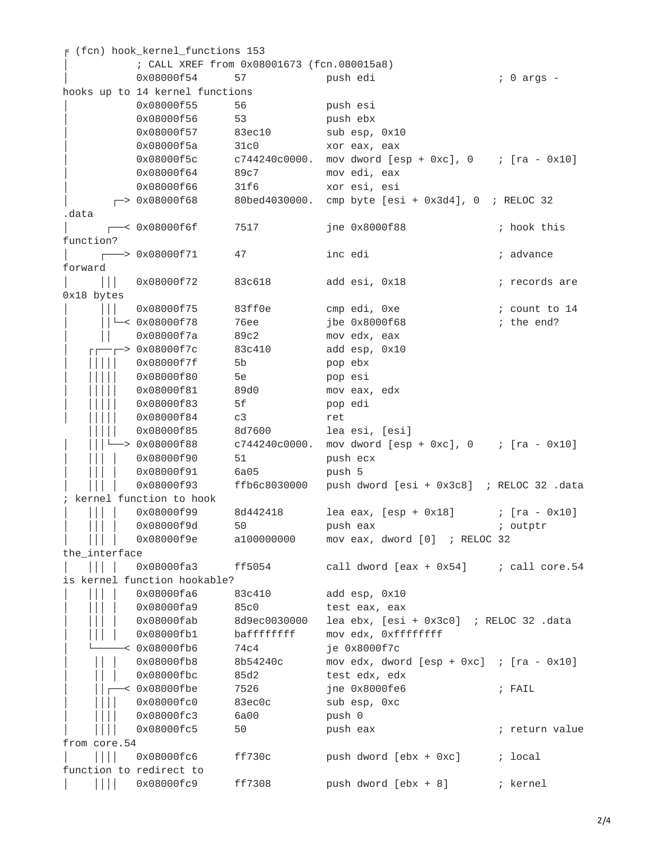|                           | $F$ (fcn) hook_kernel_functions 153        |                   |                                                                |                |
|---------------------------|--------------------------------------------|-------------------|----------------------------------------------------------------|----------------|
|                           | ; CALL XREF from 0x08001673 (fcn.080015a8) |                   |                                                                |                |
|                           | 0x08000f54                                 | 57                | push edi                                                       | ; 0 args -     |
|                           | hooks up to 14 kernel functions            |                   |                                                                |                |
|                           | 0x08000f55                                 | 56                | push esi                                                       |                |
|                           | 0x08000f56                                 | 53                | push ebx                                                       |                |
|                           | 0x08000f57                                 | 83ec10            | sub esp, 0x10                                                  |                |
|                           | 0x08000f5a                                 | 31c0              | xor eax, eax                                                   |                |
|                           | 0x08000f5c                                 | c744240c0000.     | mov dword $[esp + 0xc]$ , $0$ ; $[ra - 0x10]$                  |                |
|                           | 0x08000f64                                 | 89c7              | mov edi, eax                                                   |                |
|                           | 0x08000f66                                 | 31f6              | xor esi, esi                                                   |                |
|                           | $-$ > 0x08000f68                           | 80bed4030000.     | cmp byte $[esi + 0x3d4]$ , 0 ; RELOC 32                        |                |
| .data                     |                                            |                   |                                                                |                |
|                           | $\overline{\phantom{0}}$ < 0x08000f6f      | 7517              | jne 0x8000f88                                                  | ; hook this    |
| function?                 |                                            |                   |                                                                |                |
|                           | -> 0x08000f71                              | 47                | inc edi                                                        | ; advance      |
| forward                   |                                            |                   |                                                                |                |
| $\mathbf{H}$              | 0x08000f72                                 | 83c618            | add esi, 0x18                                                  | ; records are  |
| 0x18 bytes                |                                            |                   |                                                                |                |
|                           | 0x08000f75                                 | 83ff0e            | cmp edi, 0xe                                                   | ; count to 14  |
|                           | $L < 0 \times 08000$ f78                   | 76ee              | jbe 0x8000f68                                                  | ; the end?     |
|                           | 0x08000f7a                                 |                   | mov edx, eax                                                   |                |
|                           |                                            | 89c2              |                                                                |                |
|                           | -> 0x08000f7c                              | 83c410            | add esp, 0x10                                                  |                |
|                           | 0x08000f7f                                 | 5b                | pop ebx                                                        |                |
|                           | 0x08000f80                                 | 5e                | pop esi                                                        |                |
|                           | 0x08000f81                                 | 89d0              | mov eax, edx                                                   |                |
|                           | 0x08000f83                                 | 5f                | pop edi                                                        |                |
|                           | 0x08000f84                                 | c3                | ret                                                            |                |
|                           | 0x08000f85                                 | 8d7600            | lea esi, [esi]                                                 |                |
|                           | -> 0x08000f88                              | c744240c0000.     | mov dword $[esp + \Theta xc]$ , $\Theta$ ; $[ra - \Theta x10]$ |                |
|                           | 0x08000f90                                 | 51                | push ecx                                                       |                |
|                           | 0x08000f91                                 | 6a05              | push 5                                                         |                |
|                           | 0x08000f93                                 | ffb6c8030000      | push dword [esi + 0x3c8] ; RELOC 32 .data                      |                |
|                           | kernel function to hook                    |                   |                                                                |                |
| $\vert \ \vert$           | 0x08000f99                                 | 8d442418          | $[10a \text{ eax}, [esp + 0x18]$ ; $[ra - 0x10]$               |                |
|                           | 0x08000f9d                                 | 50                | push eax                                                       | ; outptr       |
|                           | 0x08000f9e                                 | a100000000        | mov eax, dword [0] ; RELOC 32                                  |                |
| the_interface             |                                            |                   |                                                                |                |
| $\Box$                    | 0x08000fa3                                 | ff5054            | call dword [eax + 0x54]                                        | ; call core.54 |
|                           | is kernel function hookable?               |                   |                                                                |                |
|                           | 0x08000fa6                                 | 83c410            | add esp, 0x10                                                  |                |
|                           | 0x08000fa9                                 | 85c0              | test eax, eax                                                  |                |
|                           | 0x08000fab                                 | 8d9ec0030000      | lea ebx, [esi + 0x3c0] ; RELOC 32 .data                        |                |
|                           | 0x08000fb1                                 | baffffffff        | mov edx, 0xfffffffff                                           |                |
|                           | < 0x08000fb6                               | 74 <sub>c</sub> 4 | je 0x8000f7c                                                   |                |
|                           | 0x08000fb8                                 | 8b54240c          | mov edx, dword $[esp + \Theta xc]$ ; $[ra - \Theta x10]$       |                |
|                           | 0x08000fbc                                 | 85d2              | test edx, edx                                                  |                |
| <                         | 0x08000fbe                                 | 7526              | jne 0x8000fe6                                                  | ; FAIL         |
|                           | 0x08000fc0                                 | 83ec0c            | sub esp, 0xc                                                   |                |
|                           | 0x08000fc3                                 | 6a00              | push 0                                                         |                |
|                           | 0x08000fc5                                 | 50                | push eax                                                       | ; return value |
| from core.54              |                                            |                   |                                                                |                |
|                           | 0x08000fc6                                 | ff730c            | push dword $[ebx + 0xc]$                                       | ; local        |
| function to redirect to   |                                            |                   |                                                                |                |
|                           | 0x08000fc9                                 | ff7308            | push dword [ebx + 8]                                           | ; kernel       |
| $\vert \vert \vert \vert$ |                                            |                   |                                                                |                |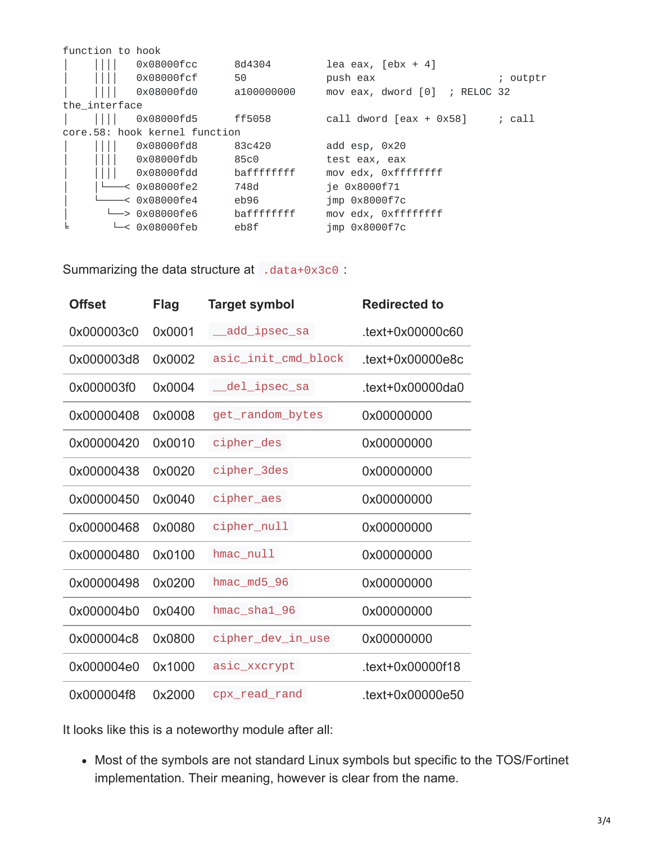| function to hook              |                                      |             |                                    |          |  |
|-------------------------------|--------------------------------------|-------------|------------------------------------|----------|--|
|                               | 0x08000fcc                           | 8d4304      | lea eax, $\lceil ebx + 4 \rceil$   |          |  |
|                               | 0x08000fcf                           | 50          | push eax                           | ; outptr |  |
|                               | 0x08000fd0                           | a100000000  | mov eax, dword $[0]$<br>; RELOC 32 |          |  |
| the_interface                 |                                      |             |                                    |          |  |
|                               | 0x08000fd5                           | ff5058      | call dword $\lceil$ eax + 0x58]    | call     |  |
| core.58: hook kernel function |                                      |             |                                    |          |  |
|                               | 0x08000fd8                           | 83c420      | add esp, 0x20                      |          |  |
|                               | 0x08000fdb                           | 85c0        | test eax, eax                      |          |  |
|                               | 0x08000fdd                           | bafffffffff | mov edx, 0xfffffffff               |          |  |
|                               | —< 0x08000fe2                        | 748d        | ie 0x8000f71                       |          |  |
|                               | —< 0x08000fe4                        | eb96        | imp 0x8000f7c                      |          |  |
|                               | └─> 0x08000fe6                       | bafffffffff | mov edx, 0xfffffffff               |          |  |
|                               | $ightharpoonup$ $\ltimes$ 0x08000feb | eb8f        | imp 0x8000f7c                      |          |  |

Summarizing the data structure at .data+0x3c0 :

| <b>Offset</b> | <b>Flag</b> | <b>Target symbol</b> | <b>Redirected to</b> |
|---------------|-------------|----------------------|----------------------|
| 0x000003c0    | 0x0001      | add_ipsec_sa         | $text+0x00000c60$    |
| 0x000003d8    | 0x0002      | asic_init_cmd_block  | $text+0x00000e8c$    |
| 0x000003f0    | 0x0004      | del_ipsec_sa         | $text+0x00000da0$    |
| 0x00000408    | 0x0008      | get_random_bytes     | 0x00000000           |
| 0x00000420    | 0x0010      | cipher_des           | 0x00000000           |
| 0x00000438    | 0x0020      | cipher_3des          | 0x00000000           |
| 0x00000450    | 0x0040      | cipher_aes           | 0x00000000           |
| 0x00000468    | 0x0080      | cipher_null          | 0x00000000           |
| 0x00000480    | 0x0100      | $h$ mac_null         | 0x00000000           |
| 0x00000498    | 0x0200      | hmac_md5_96          | 0x00000000           |
| 0x000004b0    | 0x0400      | hmac_sha1_96         | 0x00000000           |
| 0x000004c8    | 0x0800      | cipher_dev_in_use    | 0x00000000           |
| 0x000004e0    | 0x1000      | asic_xxcrypt         | .text+0x00000f18     |
| 0x000004f8    | 0x2000      | cpx_read_rand        | .text+0x00000e50     |

It looks like this is a noteworthy module after all:

Most of the symbols are not standard Linux symbols but specific to the TOS/Fortinet implementation. Their meaning, however is clear from the name.